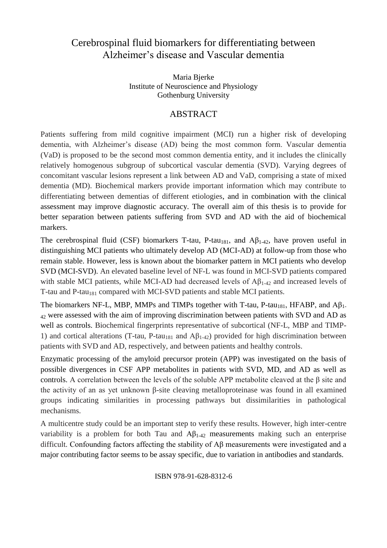## Cerebrospinal fluid biomarkers for differentiating between Alzheimer's disease and Vascular dementia

Maria Bjerke Institute of Neuroscience and Physiology Gothenburg University

#### ABSTRACT

Patients suffering from mild cognitive impairment (MCI) run a higher risk of developing dementia, with Alzheimer's disease (AD) being the most common form. Vascular dementia (VaD) is proposed to be the second most common dementia entity, and it includes the clinically relatively homogenous subgroup of subcortical vascular dementia (SVD). Varying degrees of concomitant vascular lesions represent a link between AD and VaD, comprising a state of mixed dementia (MD). Biochemical markers provide important information which may contribute to differentiating between dementias of different etiologies, and in combination with the clinical assessment may improve diagnostic accuracy. The overall aim of this thesis is to provide for better separation between patients suffering from SVD and AD with the aid of biochemical markers.

The cerebrospinal fluid (CSF) biomarkers T-tau, P-tau<sub>181</sub>, and  $A\beta_{1-42}$ , have proven useful in distinguishing MCI patients who ultimately develop AD (MCI-AD) at follow-up from those who remain stable. However, less is known about the biomarker pattern in MCI patients who develop SVD (MCI-SVD). An elevated baseline level of NF-L was found in MCI-SVD patients compared with stable MCI patients, while MCI-AD had decreased levels of  $A\beta_{1-42}$  and increased levels of T-tau and P-tau<sub>181</sub> compared with MCI-SVD patients and stable MCI patients.

The biomarkers NF-L, MBP, MMPs and TIMPs together with T-tau, P-tau<sub>181</sub>, HFABP, and  $A\beta_1$ . <sup>42</sup> were assessed with the aim of improving discrimination between patients with SVD and AD as well as controls. Biochemical fingerprints representative of subcortical (NF-L, MBP and TIMP-1) and cortical alterations (T-tau, P-tau<sub>181</sub> and  $A\beta_{1-42}$ ) provided for high discrimination between patients with SVD and AD, respectively, and between patients and healthy controls.

Enzymatic processing of the amyloid precursor protein (APP) was investigated on the basis of possible divergences in CSF APP metabolites in patients with SVD, MD, and AD as well as controls. A correlation between the levels of the soluble APP metabolite cleaved at the β site and the activity of an as yet unknown β-site cleaving metalloproteinase was found in all examined groups indicating similarities in processing pathways but dissimilarities in pathological mechanisms.

A multicentre study could be an important step to verify these results. However, high inter-centre variability is a problem for both Tau and  $A\beta_{1-42}$  measurements making such an enterprise difficult. Confounding factors affecting the stability of Aβ measurements were investigated and a major contributing factor seems to be assay specific, due to variation in antibodies and standards.

ISBN 978-91-628-8312-6